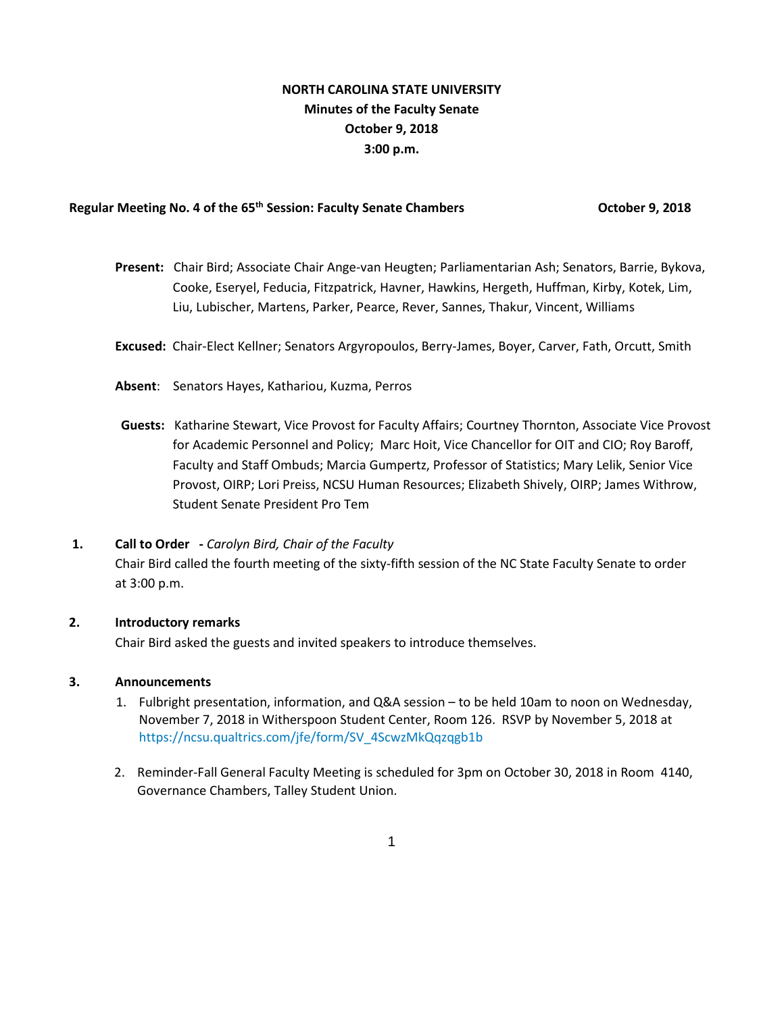# **NORTH CAROLINA STATE UNIVERSITY Minutes of the Faculty Senate October 9, 2018 3:00 p.m.**

# Regular Meeting No. 4 of the 65<sup>th</sup> Session: Faculty Senate Chambers **Canadian Constructer 1, 2018**

- **Present:** Chair Bird; Associate Chair Ange-van Heugten; Parliamentarian Ash; Senators, Barrie, Bykova, Cooke, Eseryel, Feducia, Fitzpatrick, Havner, Hawkins, Hergeth, Huffman, Kirby, Kotek, Lim, Liu, Lubischer, Martens, Parker, Pearce, Rever, Sannes, Thakur, Vincent, Williams
- **Excused:** Chair-Elect Kellner; Senators Argyropoulos, Berry-James, Boyer, Carver, Fath, Orcutt, Smith
- **Absent**: Senators Hayes, Kathariou, Kuzma, Perros
- **Guests:** Katharine Stewart, Vice Provost for Faculty Affairs; Courtney Thornton, Associate Vice Provost for Academic Personnel and Policy; Marc Hoit, Vice Chancellor for OIT and CIO; Roy Baroff, Faculty and Staff Ombuds; Marcia Gumpertz, Professor of Statistics; Mary Lelik, Senior Vice Provost, OIRP; Lori Preiss, NCSU Human Resources; Elizabeth Shively, OIRP; James Withrow, Student Senate President Pro Tem

#### **1. Call to Order -** *Carolyn Bird, Chair of the Faculty*

Chair Bird called the fourth meeting of the sixty-fifth session of the NC State Faculty Senate to order at 3:00 p.m.

# **2. Introductory remarks**

Chair Bird asked the guests and invited speakers to introduce themselves.

#### **3. Announcements**

- 1. Fulbright presentation, information, and Q&A session to be held 10am to noon on Wednesday, November 7, 2018 in Witherspoon Student Center, Room 126. RSVP by November 5, 2018 at [https://ncsu.qualtrics.com/jfe/form/SV\\_4ScwzMkQqzqgb1b](https://ncsu.qualtrics.com/jfe/form/SV_4ScwzMkQqzqgb1b)
- 2. Reminder-Fall General Faculty Meeting is scheduled for 3pm on October 30, 2018 in Room 4140, Governance Chambers, Talley Student Union.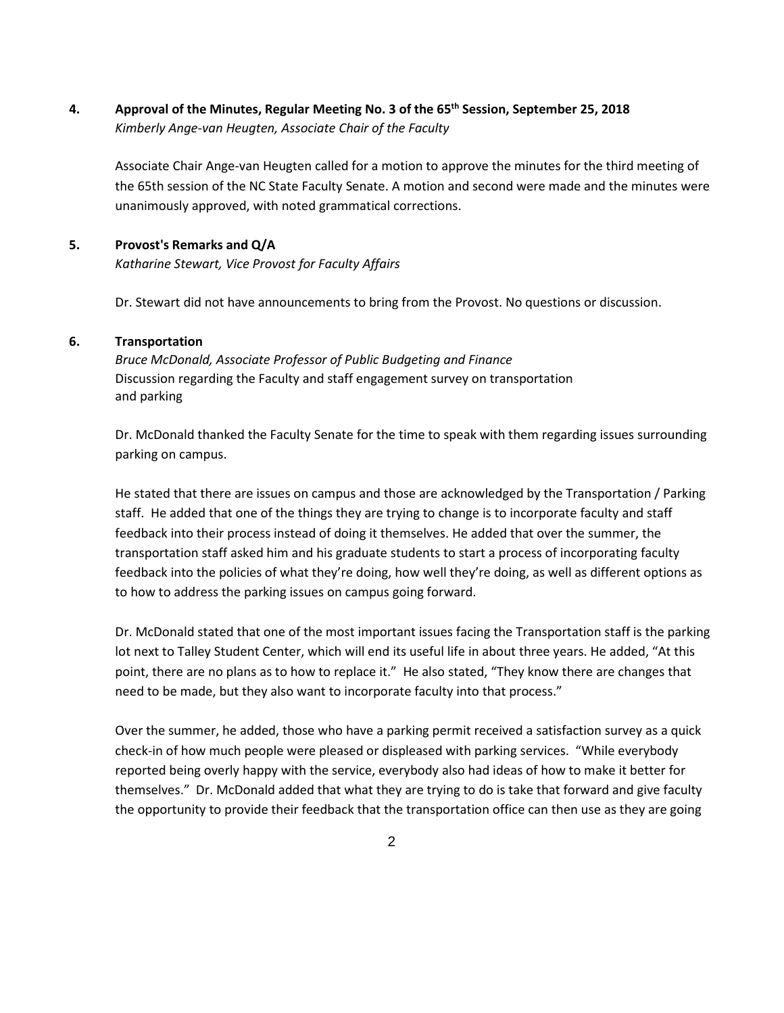**4. Approval of the Minutes, Regular Meeting No. 3 of the 65th Session, September 25, 2018**  *Kimberly Ange-van Heugten, Associate Chair of the Faculty* 

Associate Chair Ange-van Heugten called for a motion to approve the minutes for the third meeting of the 65th session of the NC State Faculty Senate. A motion and second were made and the minutes were unanimously approved, with noted grammatical corrections.

# **5. Provost's Remarks and Q/A**

*Katharine Stewart, Vice Provost for Faculty Affairs*

Dr. Stewart did not have announcements to bring from the Provost. No questions or discussion.

# **6. Transportation**

*Bruce McDonald, Associate Professor of Public Budgeting and Finance*  Discussion regarding the Faculty and staff engagement survey on transportation and parking

Dr. McDonald thanked the Faculty Senate for the time to speak with them regarding issues surrounding parking on campus.

He stated that there are issues on campus and those are acknowledged by the Transportation / Parking staff. He added that one of the things they are trying to change is to incorporate faculty and staff feedback into their process instead of doing it themselves. He added that over the summer, the transportation staff asked him and his graduate students to start a process of incorporating faculty feedback into the policies of what they're doing, how well they're doing, as well as different options as to how to address the parking issues on campus going forward.

Dr. McDonald stated that one of the most important issues facing the Transportation staff is the parking lot next to Talley Student Center, which will end its useful life in about three years. He added, "At this point, there are no plans as to how to replace it." He also stated, "They know there are changes that need to be made, but they also want to incorporate faculty into that process."

Over the summer, he added, those who have a parking permit received a satisfaction survey as a quick check-in of how much people were pleased or displeased with parking services. "While everybody reported being overly happy with the service, everybody also had ideas of how to make it better for themselves." Dr. McDonald added that what they are trying to do is take that forward and give faculty the opportunity to provide their feedback that the transportation office can then use as they are going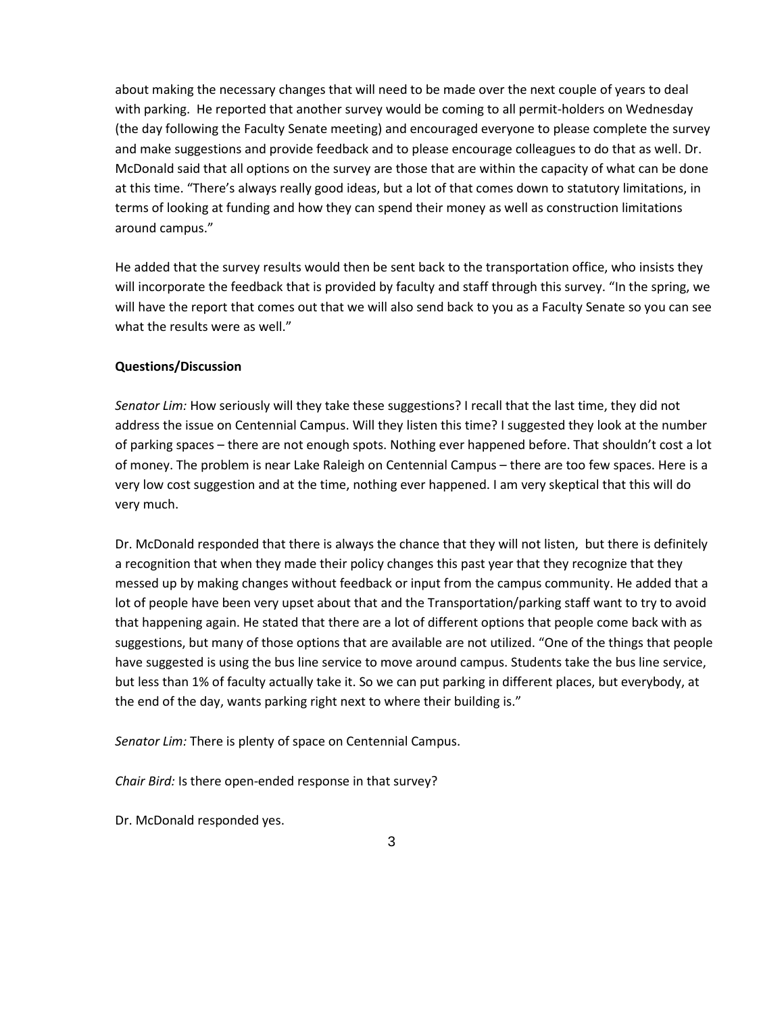about making the necessary changes that will need to be made over the next couple of years to deal with parking. He reported that another survey would be coming to all permit-holders on Wednesday (the day following the Faculty Senate meeting) and encouraged everyone to please complete the survey and make suggestions and provide feedback and to please encourage colleagues to do that as well. Dr. McDonald said that all options on the survey are those that are within the capacity of what can be done at this time. "There's always really good ideas, but a lot of that comes down to statutory limitations, in terms of looking at funding and how they can spend their money as well as construction limitations around campus."

He added that the survey results would then be sent back to the transportation office, who insists they will incorporate the feedback that is provided by faculty and staff through this survey. "In the spring, we will have the report that comes out that we will also send back to you as a Faculty Senate so you can see what the results were as well."

# **Questions/Discussion**

*Senator Lim:* How seriously will they take these suggestions? I recall that the last time, they did not address the issue on Centennial Campus. Will they listen this time? I suggested they look at the number of parking spaces – there are not enough spots. Nothing ever happened before. That shouldn't cost a lot of money. The problem is near Lake Raleigh on Centennial Campus – there are too few spaces. Here is a very low cost suggestion and at the time, nothing ever happened. I am very skeptical that this will do very much.

Dr. McDonald responded that there is always the chance that they will not listen, but there is definitely a recognition that when they made their policy changes this past year that they recognize that they messed up by making changes without feedback or input from the campus community. He added that a lot of people have been very upset about that and the Transportation/parking staff want to try to avoid that happening again. He stated that there are a lot of different options that people come back with as suggestions, but many of those options that are available are not utilized. "One of the things that people have suggested is using the bus line service to move around campus. Students take the bus line service, but less than 1% of faculty actually take it. So we can put parking in different places, but everybody, at the end of the day, wants parking right next to where their building is."

*Senator Lim:* There is plenty of space on Centennial Campus.

*Chair Bird:* Is there open-ended response in that survey?

Dr. McDonald responded yes.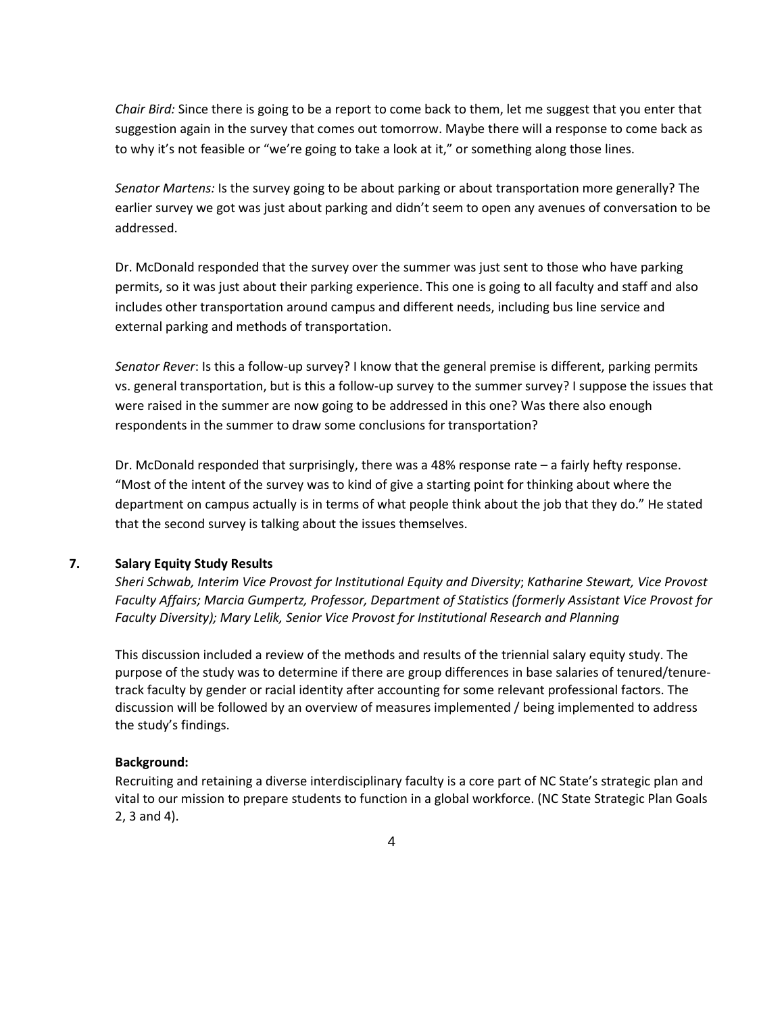*Chair Bird:* Since there is going to be a report to come back to them, let me suggest that you enter that suggestion again in the survey that comes out tomorrow. Maybe there will a response to come back as to why it's not feasible or "we're going to take a look at it," or something along those lines.

*Senator Martens:* Is the survey going to be about parking or about transportation more generally? The earlier survey we got was just about parking and didn't seem to open any avenues of conversation to be addressed.

Dr. McDonald responded that the survey over the summer was just sent to those who have parking permits, so it was just about their parking experience. This one is going to all faculty and staff and also includes other transportation around campus and different needs, including bus line service and external parking and methods of transportation.

*Senator Rever*: Is this a follow-up survey? I know that the general premise is different, parking permits vs. general transportation, but is this a follow-up survey to the summer survey? I suppose the issues that were raised in the summer are now going to be addressed in this one? Was there also enough respondents in the summer to draw some conclusions for transportation?

Dr. McDonald responded that surprisingly, there was a 48% response rate – a fairly hefty response. "Most of the intent of the survey was to kind of give a starting point for thinking about where the department on campus actually is in terms of what people think about the job that they do." He stated that the second survey is talking about the issues themselves.

# **7. Salary Equity Study Results**

*Sheri Schwab, Interim Vice Provost for Institutional Equity and Diversity*; *Katharine Stewart, Vice Provost Faculty Affairs; Marcia Gumpertz, Professor, Department of Statistics (formerly Assistant Vice Provost for Faculty Diversity); Mary Lelik, Senior Vice Provost for Institutional Research and Planning* 

This discussion included a review of the methods and results of the triennial salary equity study. The purpose of the study was to determine if there are group differences in base salaries of tenured/tenuretrack faculty by gender or racial identity after accounting for some relevant professional factors. The discussion will be followed by an overview of measures implemented / being implemented to address the study's findings.

#### **Background:**

Recruiting and retaining a diverse interdisciplinary faculty is a core part of NC State's strategic plan and vital to our mission to prepare students to function in a global workforce. (NC State Strategic Plan Goals 2, 3 and 4).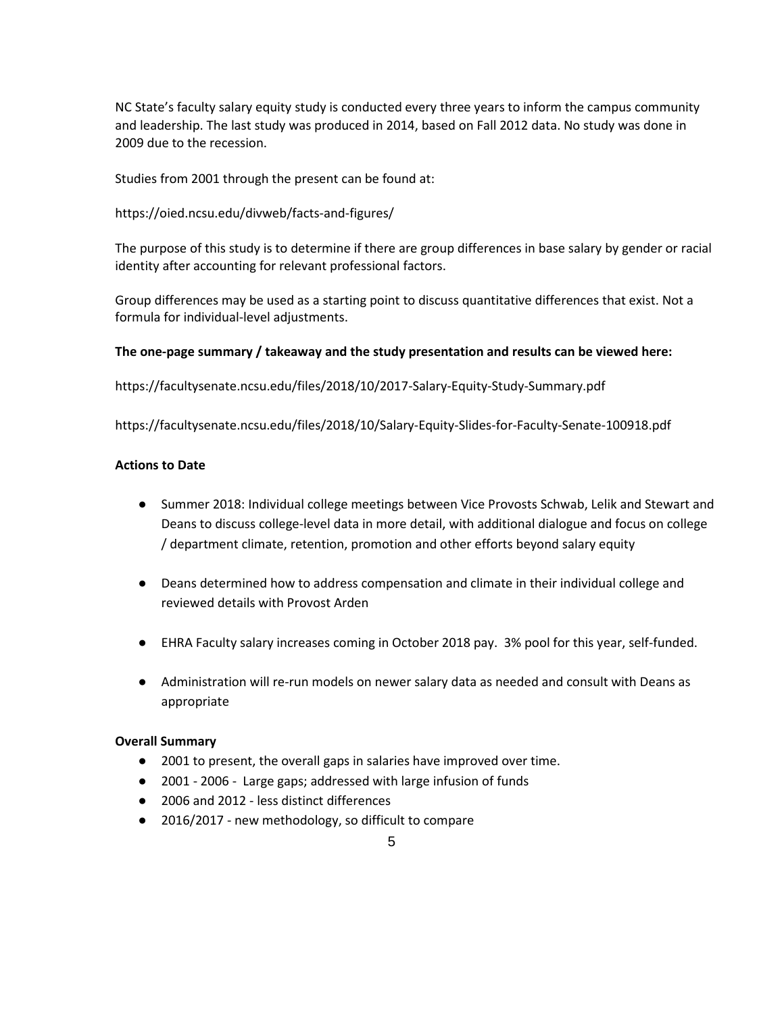NC State's faculty salary equity study is conducted every three years to inform the campus community and leadership. The last study was produced in 2014, based on Fall 2012 data. No study was done in 2009 due to the recession.

Studies from 2001 through the present can be found at:

https://oied.ncsu.edu/divweb/facts-and-figures/

The purpose of this study is to determine if there are group differences in base salary by gender or racial identity after accounting for relevant professional factors.

Group differences may be used as a starting point to discuss quantitative differences that exist. Not a formula for individual-level adjustments.

# **The one-page summary / takeaway and the study presentation and results can be viewed here:**

https://facultysenate.ncsu.edu/files/2018/10/2017-Salary-Equity-Study-Summary.pdf

https://facultysenate.ncsu.edu/files/2018/10/Salary-Equity-Slides-for-Faculty-Senate-100918.pdf

# **Actions to Date**

- Summer 2018: Individual college meetings between Vice Provosts Schwab, Lelik and Stewart and Deans to discuss college-level data in more detail, with additional dialogue and focus on college / department climate, retention, promotion and other efforts beyond salary equity
- Deans determined how to address compensation and climate in their individual college and reviewed details with Provost Arden
- EHRA Faculty salary increases coming in October 2018 pay. 3% pool for this year, self-funded.
- Administration will re-run models on newer salary data as needed and consult with Deans as appropriate

#### **Overall Summary**

- 2001 to present, the overall gaps in salaries have improved over time.
- 2001 2006 Large gaps; addressed with large infusion of funds
- 2006 and 2012 less distinct differences
- 2016/2017 new methodology, so difficult to compare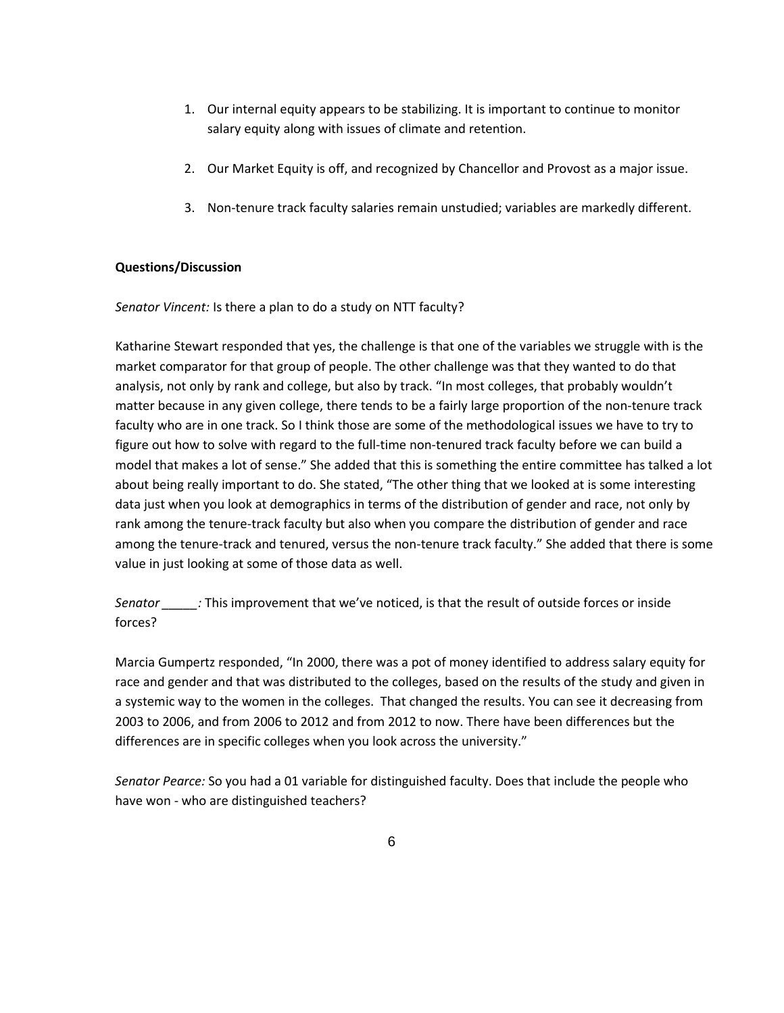- 1. Our internal equity appears to be stabilizing. It is important to continue to monitor salary equity along with issues of climate and retention.
- 2. Our Market Equity is off, and recognized by Chancellor and Provost as a major issue.
- 3. Non-tenure track faculty salaries remain unstudied; variables are markedly different.

# **Questions/Discussion**

*Senator Vincent:* Is there a plan to do a study on NTT faculty?

Katharine Stewart responded that yes, the challenge is that one of the variables we struggle with is the market comparator for that group of people. The other challenge was that they wanted to do that analysis, not only by rank and college, but also by track. "In most colleges, that probably wouldn't matter because in any given college, there tends to be a fairly large proportion of the non-tenure track faculty who are in one track. So I think those are some of the methodological issues we have to try to figure out how to solve with regard to the full-time non-tenured track faculty before we can build a model that makes a lot of sense." She added that this is something the entire committee has talked a lot about being really important to do. She stated, "The other thing that we looked at is some interesting data just when you look at demographics in terms of the distribution of gender and race, not only by rank among the tenure-track faculty but also when you compare the distribution of gender and race among the tenure-track and tenured, versus the non-tenure track faculty." She added that there is some value in just looking at some of those data as well.

*Senator \_\_\_\_\_:* This improvement that we've noticed, is that the result of outside forces or inside forces?

Marcia Gumpertz responded, "In 2000, there was a pot of money identified to address salary equity for race and gender and that was distributed to the colleges, based on the results of the study and given in a systemic way to the women in the colleges. That changed the results. You can see it decreasing from 2003 to 2006, and from 2006 to 2012 and from 2012 to now. There have been differences but the differences are in specific colleges when you look across the university."

*Senator Pearce:* So you had a 01 variable for distinguished faculty. Does that include the people who have won - who are distinguished teachers?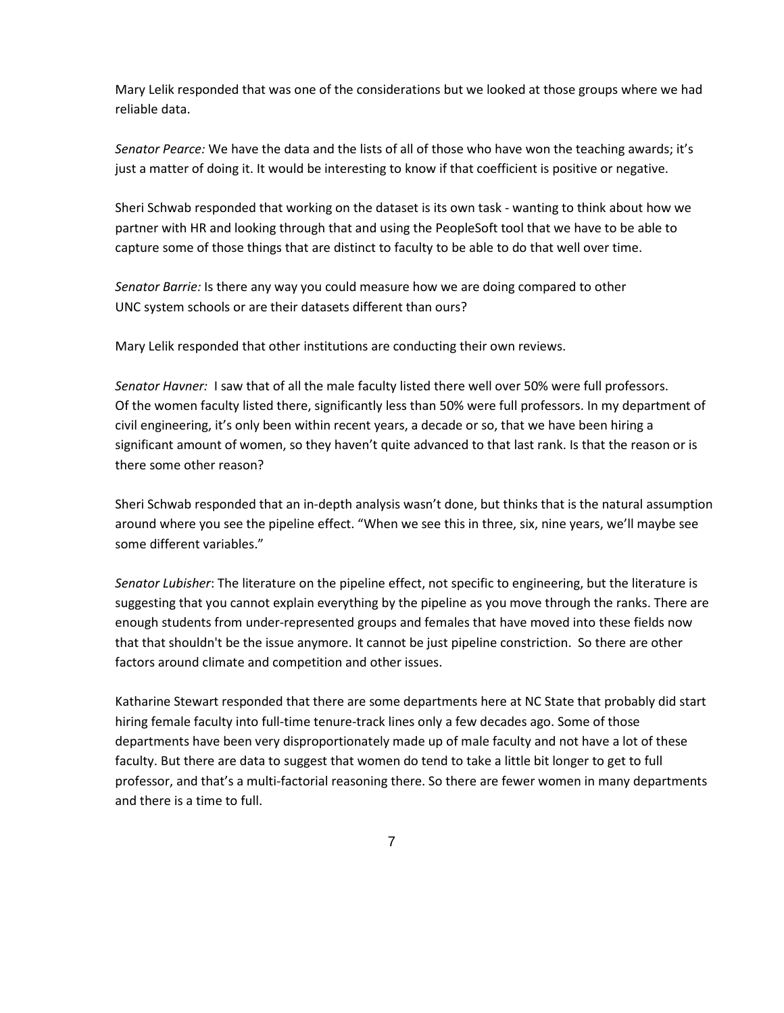Mary Lelik responded that was one of the considerations but we looked at those groups where we had reliable data.

*Senator Pearce:* We have the data and the lists of all of those who have won the teaching awards; it's just a matter of doing it. It would be interesting to know if that coefficient is positive or negative.

Sheri Schwab responded that working on the dataset is its own task - wanting to think about how we partner with HR and looking through that and using the PeopleSoft tool that we have to be able to capture some of those things that are distinct to faculty to be able to do that well over time.

*Senator Barrie:* Is there any way you could measure how we are doing compared to other UNC system schools or are their datasets different than ours?

Mary Lelik responded that other institutions are conducting their own reviews.

*Senator Havner:* I saw that of all the male faculty listed there well over 50% were full professors. Of the women faculty listed there, significantly less than 50% were full professors. In my department of civil engineering, it's only been within recent years, a decade or so, that we have been hiring a significant amount of women, so they haven't quite advanced to that last rank. Is that the reason or is there some other reason?

Sheri Schwab responded that an in-depth analysis wasn't done, but thinks that is the natural assumption around where you see the pipeline effect. "When we see this in three, six, nine years, we'll maybe see some different variables."

*Senator Lubisher*: The literature on the pipeline effect, not specific to engineering, but the literature is suggesting that you cannot explain everything by the pipeline as you move through the ranks. There are enough students from under-represented groups and females that have moved into these fields now that that shouldn't be the issue anymore. It cannot be just pipeline constriction. So there are other factors around climate and competition and other issues.

Katharine Stewart responded that there are some departments here at NC State that probably did start hiring female faculty into full-time tenure-track lines only a few decades ago. Some of those departments have been very disproportionately made up of male faculty and not have a lot of these faculty. But there are data to suggest that women do tend to take a little bit longer to get to full professor, and that's a multi-factorial reasoning there. So there are fewer women in many departments and there is a time to full.